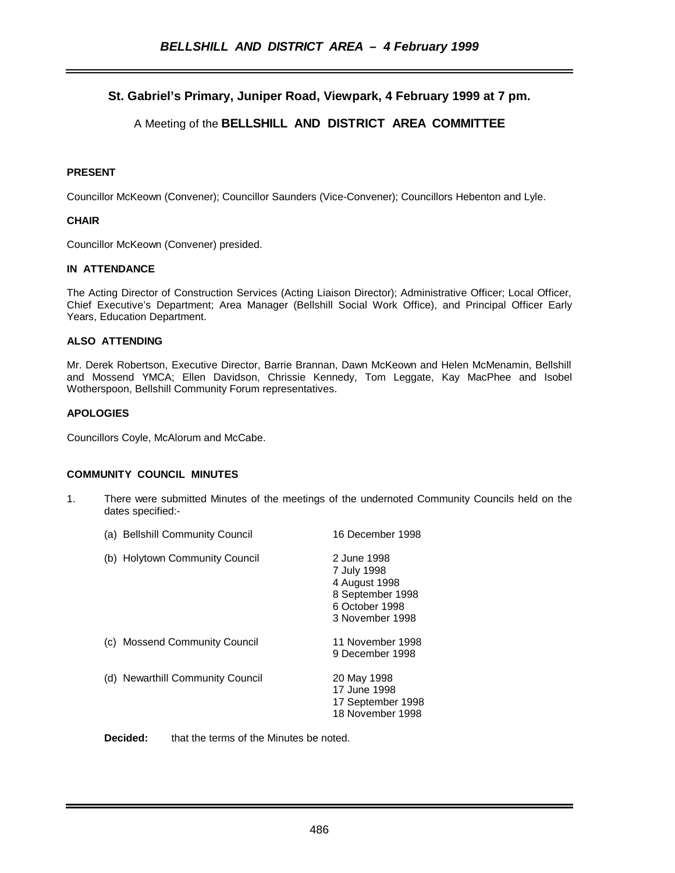# **St. Gabriel's Primary, Juniper Road, Viewpark, 4 February 1999 at 7 pm.**

# A Meeting of the **BELLSHILL AND DISTRICT AREA COMMITTEE**

# **PRESENT**

Councillor McKeown (Convener); Councillor Saunders (Vice-Convener); Councillors Hebenton and Lyle.

# **CHAIR**

Councillor McKeown (Convener) presided.

# **IN ATTENDANCE**

The Acting Director of Construction Services (Acting Liaison Director); Administrative Officer; Local Officer, Chief Executive's Department; Area Manager (Bellshill Social Work Office), and Principal Officer Early Years, Education Department.

# **ALSO ATTENDING**

Mr. Derek Robertson, Executive Director, Barrie Brannan, Dawn McKeown and Helen McMenamin, Bellshill and Mossend YMCA; Ellen Davidson, Chrissie Kennedy, Tom Leggate, Kay MacPhee and Isobel Wotherspoon, Bellshill Community Forum representatives.

# **APOLOGIES**

Councillors Coyle, McAlorum and McCabe.

#### **COMMUNITY COUNCIL MINUTES**

1. There were submitted Minutes of the meetings of the undernoted Community Councils held on the dates specified:-

| (a) Bellshill Community Council         | 16 December 1998                                                                                     |
|-----------------------------------------|------------------------------------------------------------------------------------------------------|
| (b) Holytown Community Council          | 2 June 1998<br>7 July 1998<br>4 August 1998<br>8 September 1998<br>6 October 1998<br>3 November 1998 |
| <b>Mossend Community Council</b><br>(C) | 11 November 1998<br>9 December 1998                                                                  |
| (d) Newarthill Community Council        | 20 May 1998<br>17 June 1998<br>17 September 1998<br>18 November 1998                                 |

**Decided:** that the terms of the Minutes be noted.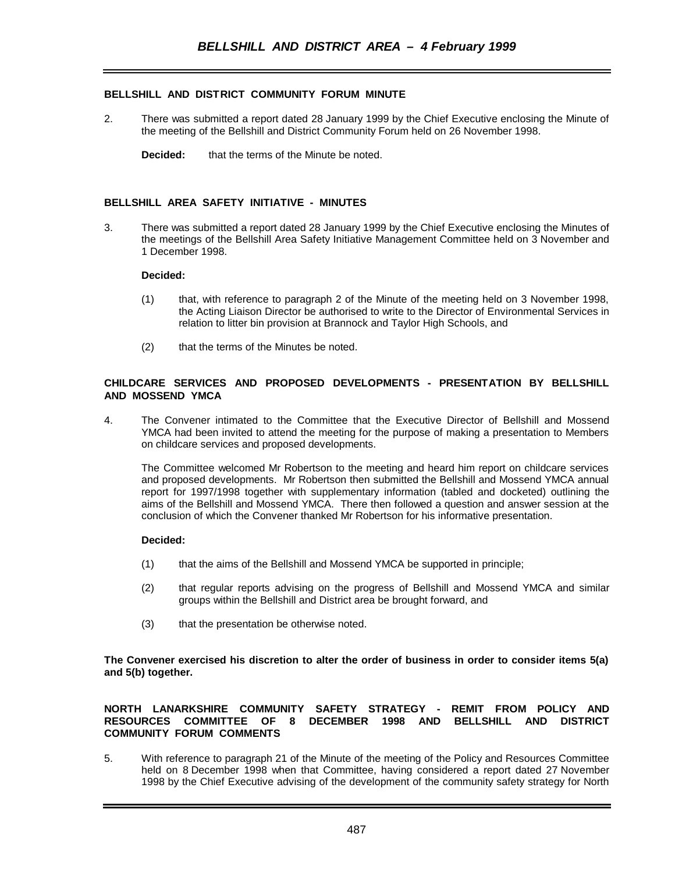# **BELLSHILL AND DISTRICT COMMUNITY FORUM MINUTE**

- 2. There was submitted a report dated 28 January 1999 by the Chief Executive enclosing the Minute of the meeting of the Bellshill and District Community Forum held on 26 November 1998.
	- **Decided:** that the terms of the Minute be noted.

#### **BELLSHILL AREA SAFETY INITIATIVE - MINUTES**

3. There was submitted a report dated 28 January 1999 by the Chief Executive enclosing the Minutes of the meetings of the Bellshill Area Safety Initiative Management Committee held on 3 November and 1 December 1998.

#### **Decided:**

- (1) that, with reference to paragraph 2 of the Minute of the meeting held on 3 November 1998, the Acting Liaison Director be authorised to write to the Director of Environmental Services in relation to litter bin provision at Brannock and Taylor High Schools, and
- (2) that the terms of the Minutes be noted.

#### **CHILDCARE SERVICES AND PROPOSED DEVELOPMENTS - PRESENTATION BY BELLSHILL AND MOSSEND YMCA**

4. The Convener intimated to the Committee that the Executive Director of Bellshill and Mossend YMCA had been invited to attend the meeting for the purpose of making a presentation to Members on childcare services and proposed developments.

The Committee welcomed Mr Robertson to the meeting and heard him report on childcare services and proposed developments. Mr Robertson then submitted the Bellshill and Mossend YMCA annual report for 1997/1998 together with supplementary information (tabled and docketed) outlining the aims of the Bellshill and Mossend YMCA. There then followed a question and answer session at the conclusion of which the Convener thanked Mr Robertson for his informative presentation.

#### **Decided:**

- (1) that the aims of the Bellshill and Mossend YMCA be supported in principle;
- (2) that regular reports advising on the progress of Bellshill and Mossend YMCA and similar groups within the Bellshill and District area be brought forward, and
- (3) that the presentation be otherwise noted.

**The Convener exercised his discretion to alter the order of business in order to consider items 5(a) and 5(b) together.**

#### **NORTH LANARKSHIRE COMMUNITY SAFETY STRATEGY - REMIT FROM POLICY AND RESOURCES COMMITTEE OF 8 DECEMBER 1998 AND BELLSHILL AND DISTRICT COMMUNITY FORUM COMMENTS**

5. With reference to paragraph 21 of the Minute of the meeting of the Policy and Resources Committee held on 8 December 1998 when that Committee, having considered a report dated 27 November 1998 by the Chief Executive advising of the development of the community safety strategy for North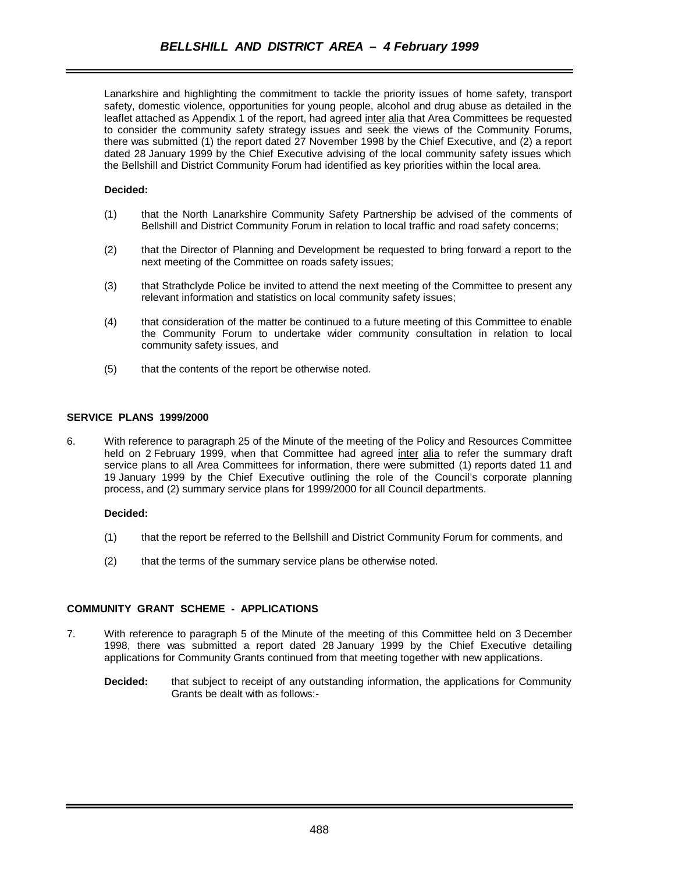Lanarkshire and highlighting the commitment to tackle the priority issues of home safety, transport safety, domestic violence, opportunities for young people, alcohol and drug abuse as detailed in the leaflet attached as Appendix 1 of the report, had agreed inter alia that Area Committees be requested to consider the community safety strategy issues and seek the views of the Community Forums, there was submitted (1) the report dated 27 November 1998 by the Chief Executive, and (2) a report dated 28 January 1999 by the Chief Executive advising of the local community safety issues which the Bellshill and District Community Forum had identified as key priorities within the local area.

# **Decided:**

- (1) that the North Lanarkshire Community Safety Partnership be advised of the comments of Bellshill and District Community Forum in relation to local traffic and road safety concerns;
- (2) that the Director of Planning and Development be requested to bring forward a report to the next meeting of the Committee on roads safety issues;
- (3) that Strathclyde Police be invited to attend the next meeting of the Committee to present any relevant information and statistics on local community safety issues;
- (4) that consideration of the matter be continued to a future meeting of this Committee to enable the Community Forum to undertake wider community consultation in relation to local community safety issues, and
- (5) that the contents of the report be otherwise noted.

# **SERVICE PLANS 1999/2000**

6. With reference to paragraph 25 of the Minute of the meeting of the Policy and Resources Committee held on 2 February 1999, when that Committee had agreed inter alia to refer the summary draft service plans to all Area Committees for information, there were submitted (1) reports dated 11 and 19 January 1999 by the Chief Executive outlining the role of the Council's corporate planning process, and (2) summary service plans for 1999/2000 for all Council departments.

#### **Decided:**

- (1) that the report be referred to the Bellshill and District Community Forum for comments, and
- (2) that the terms of the summary service plans be otherwise noted.

# **COMMUNITY GRANT SCHEME - APPLICATIONS**

- 7. With reference to paragraph 5 of the Minute of the meeting of this Committee held on 3 December 1998, there was submitted a report dated 28 January 1999 by the Chief Executive detailing applications for Community Grants continued from that meeting together with new applications.
	- **Decided:** that subject to receipt of any outstanding information, the applications for Community Grants be dealt with as follows:-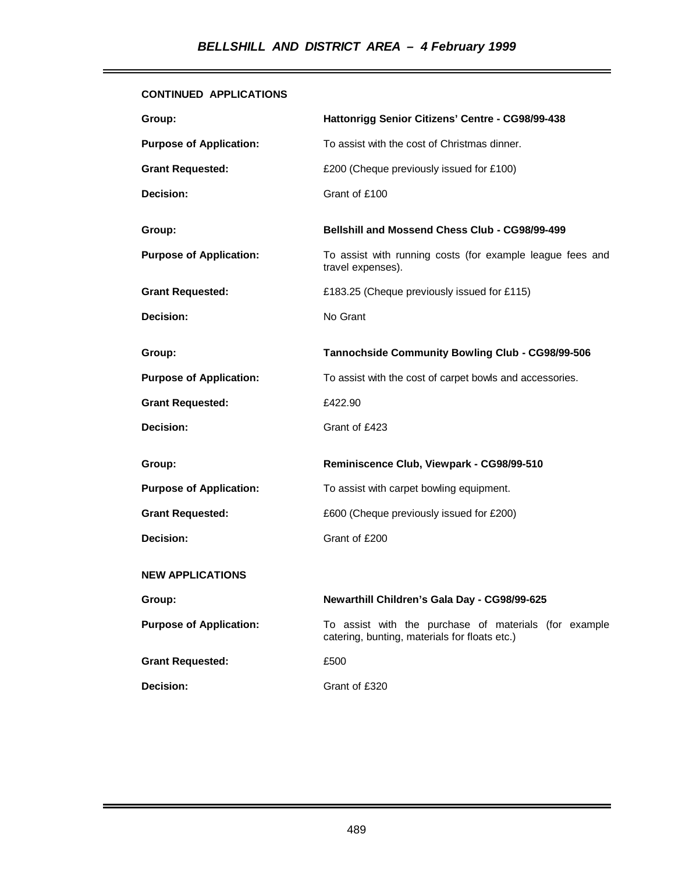# **CONTINUED APPLICATIONS**

| Group:                         | Hattonrigg Senior Citizens' Centre - CG98/99-438                                                       |
|--------------------------------|--------------------------------------------------------------------------------------------------------|
| <b>Purpose of Application:</b> | To assist with the cost of Christmas dinner.                                                           |
| <b>Grant Requested:</b>        | £200 (Cheque previously issued for £100)                                                               |
| Decision:                      | Grant of £100                                                                                          |
| Group:                         | Bellshill and Mossend Chess Club - CG98/99-499                                                         |
| <b>Purpose of Application:</b> | To assist with running costs (for example league fees and<br>travel expenses).                         |
| <b>Grant Requested:</b>        | £183.25 (Cheque previously issued for £115)                                                            |
| Decision:                      | No Grant                                                                                               |
| Group:                         | Tannochside Community Bowling Club - CG98/99-506                                                       |
| <b>Purpose of Application:</b> | To assist with the cost of carpet bowls and accessories.                                               |
| <b>Grant Requested:</b>        | £422.90                                                                                                |
| Decision:                      | Grant of £423                                                                                          |
| Group:                         | Reminiscence Club, Viewpark - CG98/99-510                                                              |
| <b>Purpose of Application:</b> | To assist with carpet bowling equipment.                                                               |
| <b>Grant Requested:</b>        | £600 (Cheque previously issued for £200)                                                               |
| Decision:                      | Grant of £200                                                                                          |
| <b>NEW APPLICATIONS</b>        |                                                                                                        |
| Group:                         | Newarthill Children's Gala Day - CG98/99-625                                                           |
| <b>Purpose of Application:</b> | To assist with the purchase of materials (for example<br>catering, bunting, materials for floats etc.) |
| <b>Grant Requested:</b>        | £500                                                                                                   |
| Decision:                      | Grant of £320                                                                                          |

í.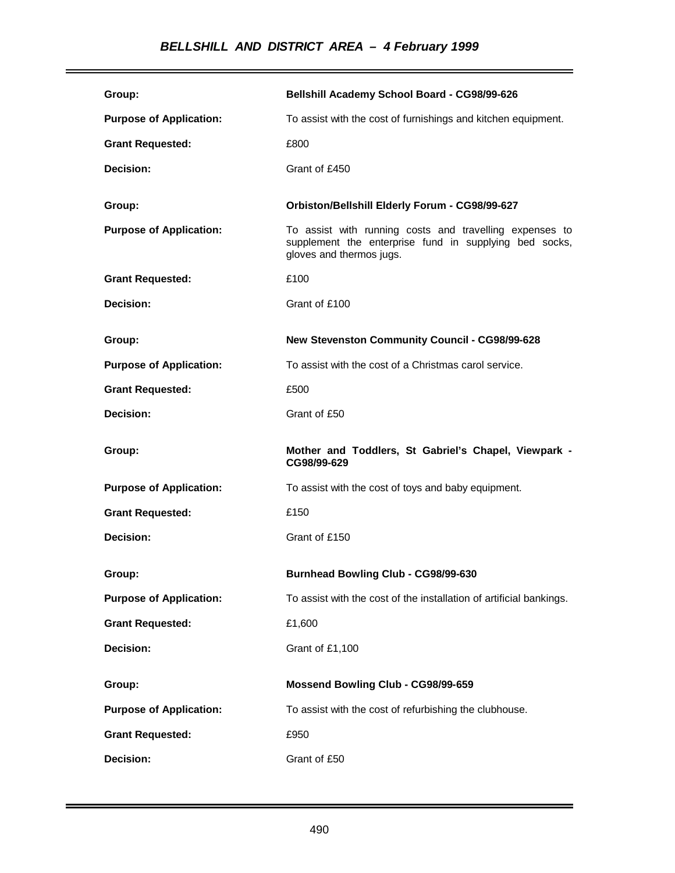| Group:                         | Bellshill Academy School Board - CG98/99-626                                                                                                  |
|--------------------------------|-----------------------------------------------------------------------------------------------------------------------------------------------|
| <b>Purpose of Application:</b> | To assist with the cost of furnishings and kitchen equipment.                                                                                 |
| <b>Grant Requested:</b>        | £800                                                                                                                                          |
| Decision:                      | Grant of £450                                                                                                                                 |
| Group:                         | Orbiston/Bellshill Elderly Forum - CG98/99-627                                                                                                |
| <b>Purpose of Application:</b> | To assist with running costs and travelling expenses to<br>supplement the enterprise fund in supplying bed socks,<br>gloves and thermos jugs. |
| <b>Grant Requested:</b>        | £100                                                                                                                                          |
| Decision:                      | Grant of £100                                                                                                                                 |
| Group:                         | New Stevenston Community Council - CG98/99-628                                                                                                |
| <b>Purpose of Application:</b> | To assist with the cost of a Christmas carol service.                                                                                         |
| <b>Grant Requested:</b>        | £500                                                                                                                                          |
| Decision:                      | Grant of £50                                                                                                                                  |
|                                |                                                                                                                                               |
| Group:                         | Mother and Toddlers, St Gabriel's Chapel, Viewpark -<br>CG98/99-629                                                                           |
| <b>Purpose of Application:</b> | To assist with the cost of toys and baby equipment.                                                                                           |
| <b>Grant Requested:</b>        | £150                                                                                                                                          |
| Decision:                      | Grant of £150                                                                                                                                 |
| Group:                         | Burnhead Bowling Club - CG98/99-630                                                                                                           |
| <b>Purpose of Application:</b> | To assist with the cost of the installation of artificial bankings.                                                                           |
| <b>Grant Requested:</b>        | £1,600                                                                                                                                        |
| Decision:                      | Grant of £1,100                                                                                                                               |
| Group:                         | Mossend Bowling Club - CG98/99-659                                                                                                            |
| <b>Purpose of Application:</b> | To assist with the cost of refurbishing the clubhouse.                                                                                        |
| <b>Grant Requested:</b>        | £950                                                                                                                                          |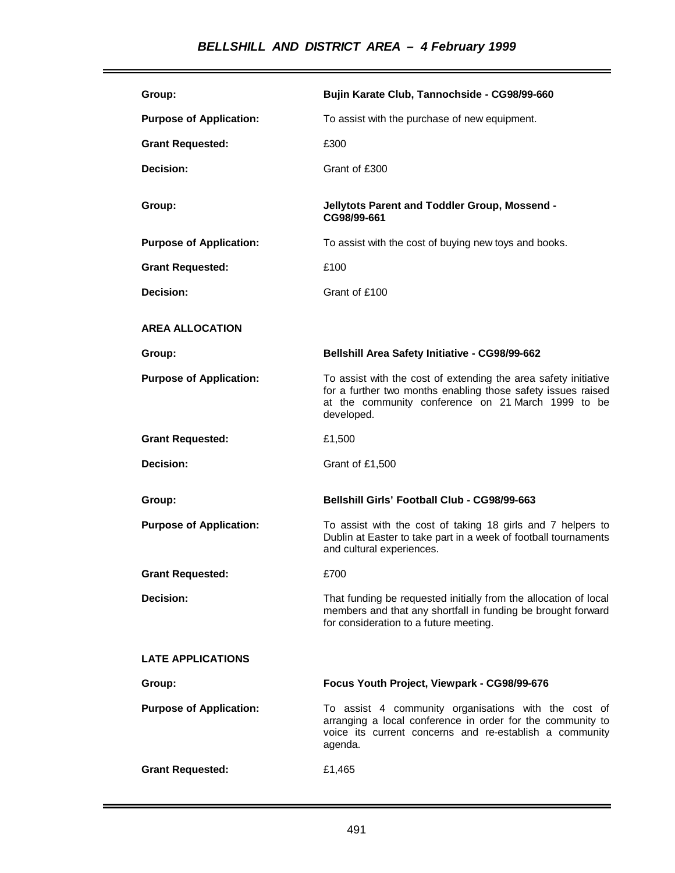| Group:                         | Bujin Karate Club, Tannochside - CG98/99-660                                                                                                                                                        |
|--------------------------------|-----------------------------------------------------------------------------------------------------------------------------------------------------------------------------------------------------|
| <b>Purpose of Application:</b> | To assist with the purchase of new equipment.                                                                                                                                                       |
| <b>Grant Requested:</b>        | £300                                                                                                                                                                                                |
| Decision:                      | Grant of £300                                                                                                                                                                                       |
| Group:                         | Jellytots Parent and Toddler Group, Mossend -<br>CG98/99-661                                                                                                                                        |
| <b>Purpose of Application:</b> | To assist with the cost of buying new toys and books.                                                                                                                                               |
| <b>Grant Requested:</b>        | £100                                                                                                                                                                                                |
| Decision:                      | Grant of £100                                                                                                                                                                                       |
| <b>AREA ALLOCATION</b>         |                                                                                                                                                                                                     |
| Group:                         | Bellshill Area Safety Initiative - CG98/99-662                                                                                                                                                      |
| <b>Purpose of Application:</b> | To assist with the cost of extending the area safety initiative<br>for a further two months enabling those safety issues raised<br>at the community conference on 21 March 1999 to be<br>developed. |
|                                |                                                                                                                                                                                                     |
| <b>Grant Requested:</b>        | £1,500                                                                                                                                                                                              |
| Decision:                      | Grant of £1,500                                                                                                                                                                                     |
| Group:                         | <b>Bellshill Girls' Football Club - CG98/99-663</b>                                                                                                                                                 |
| <b>Purpose of Application:</b> | To assist with the cost of taking 18 girls and 7 helpers to<br>Dublin at Easter to take part in a week of football tournaments<br>and cultural experiences.                                         |
| <b>Grant Requested:</b>        | £700                                                                                                                                                                                                |
| Decision:                      | That funding be requested initially from the allocation of local<br>members and that any shortfall in funding be brought forward<br>for consideration to a future meeting.                          |
| <b>LATE APPLICATIONS</b>       |                                                                                                                                                                                                     |
| Group:                         | Focus Youth Project, Viewpark - CG98/99-676                                                                                                                                                         |
| <b>Purpose of Application:</b> | To assist 4 community organisations with the cost of<br>arranging a local conference in order for the community to<br>voice its current concerns and re-establish a community<br>agenda.            |